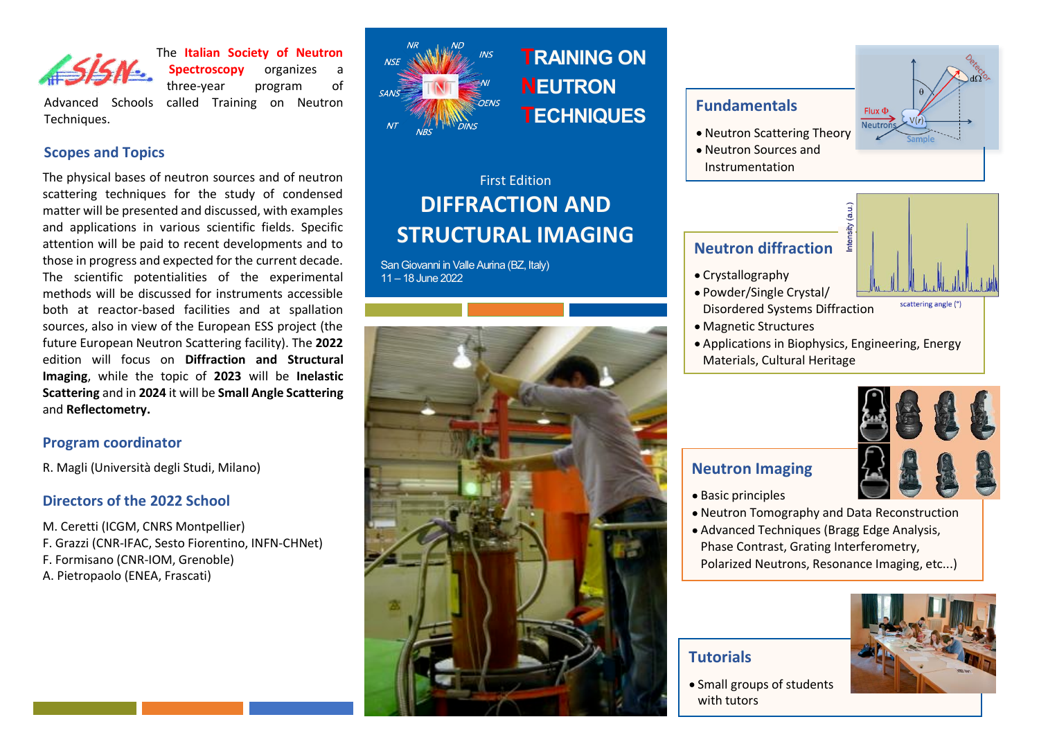

The **Italian Society of Neutron Spectroscopy** organizes a three-year program of

Advanced Schools called Training on Neutron Techniques.

### **Scopes and Topics**

The physical bases of neutron sources and of neutron scattering techniques for the study of condensed matter will be presented and discussed, with examples and applications in various scientific fields. Specific attention will be paid to recent developments and to those in progress and expected for the current decade. The scientific potentialities of the experimental methods will be discussed for instruments accessible both at reactor-based facilities and at spallation sources, also in view of the European ESS project (the future European Neutron Scattering facility). The **2022** edition will focus on **Diffraction and Structural Imaging**, while the topic of **2023** will be **Inelastic Scattering** and in **2024** it will be **Small Angle Scattering** and **Reflectometry.**

#### **Program coordinator**

R. Magli (Università degli Studi, Milano)

#### **Directors of the 2022 School**

M. Ceretti (ICGM, CNRS Montpellier) F. Grazzi (CNR-IFAC, Sesto Fiorentino, INFN-CHNet) F. Formisano (CNR-IOM, Grenoble) A. Pietropaolo (ENEA, Frascati)



**TRAINING ON NEUTRON TECHNIQUES**

# First Edition **DIFFRACTION AND STRUCTURAL IMAGING**

San Giovanni in Valle Aurina (BZ, Italy) 11 – 18 June 2022



## **Fundamentals**

- Neutron Scattering Theory
- Neutron Sources and Instrumentation



# **Neutron diffraction**

- Crystallography
- Powder/Single Crystal/ Disordered Systems Diffraction
- Magnetic Structures
- Applications in Biophysics, Engineering, Energy Materials, Cultural Heritage



scattering angle (°)

- **Neutron Imaging** • Basic principles
- I Neutron Tomography and Data Reconstruction
- Advanced Techniques (Bragg Edge Analysis, Phase Contrast, Grating Interferometry, Polarized Neutrons, Resonance Imaging, etc...)

## **Tutorials**

• Small groups of students with tutors